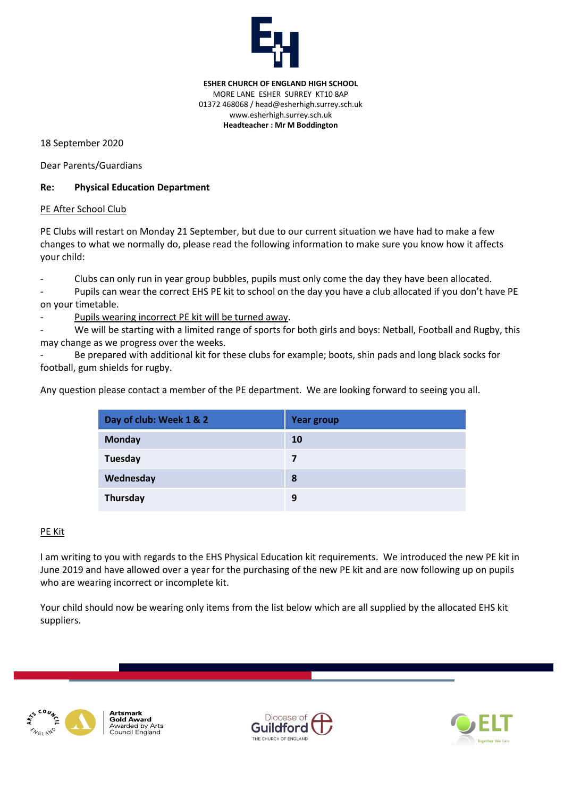

**ESHER CHURCH OF ENGLAND HIGH SCHOOL** MORE LANE ESHER SURREY KT10 8AP 01372 468068 / head@esherhigh.surrey.sch.uk www.esherhigh.surrey.sch.uk **Headteacher : Mr M Boddington**

18 September 2020

Dear Parents/Guardians

## **Re: Physical Education Department**

## PE After School Club

PE Clubs will restart on Monday 21 September, but due to our current situation we have had to make a few changes to what we normally do, please read the following information to make sure you know how it affects your child:

Clubs can only run in year group bubbles, pupils must only come the day they have been allocated.

Pupils can wear the correct EHS PE kit to school on the day you have a club allocated if you don't have PE on your timetable.

Pupils wearing incorrect PE kit will be turned away.

We will be starting with a limited range of sports for both girls and boys: Netball, Football and Rugby, this may change as we progress over the weeks.

Be prepared with additional kit for these clubs for example; boots, shin pads and long black socks for football, gum shields for rugby.

Any question please contact a member of the PE department. We are looking forward to seeing you all.

| Day of club: Week 1 & 2 | <b>Year group</b> |
|-------------------------|-------------------|
| <b>Monday</b>           | 10                |
| Tuesday                 | 7                 |
| Wednesday               | 8                 |
| Thursday                | 9                 |

## PE Kit

I am writing to you with regards to the EHS Physical Education kit requirements. We introduced the new PE kit in June 2019 and have allowed over a year for the purchasing of the new PE kit and are now following up on pupils who are wearing incorrect or incomplete kit.

Your child should now be wearing only items from the list below which are all supplied by the allocated EHS kit suppliers.



**Artsmark Gold Award** Awarded by Arts Council England